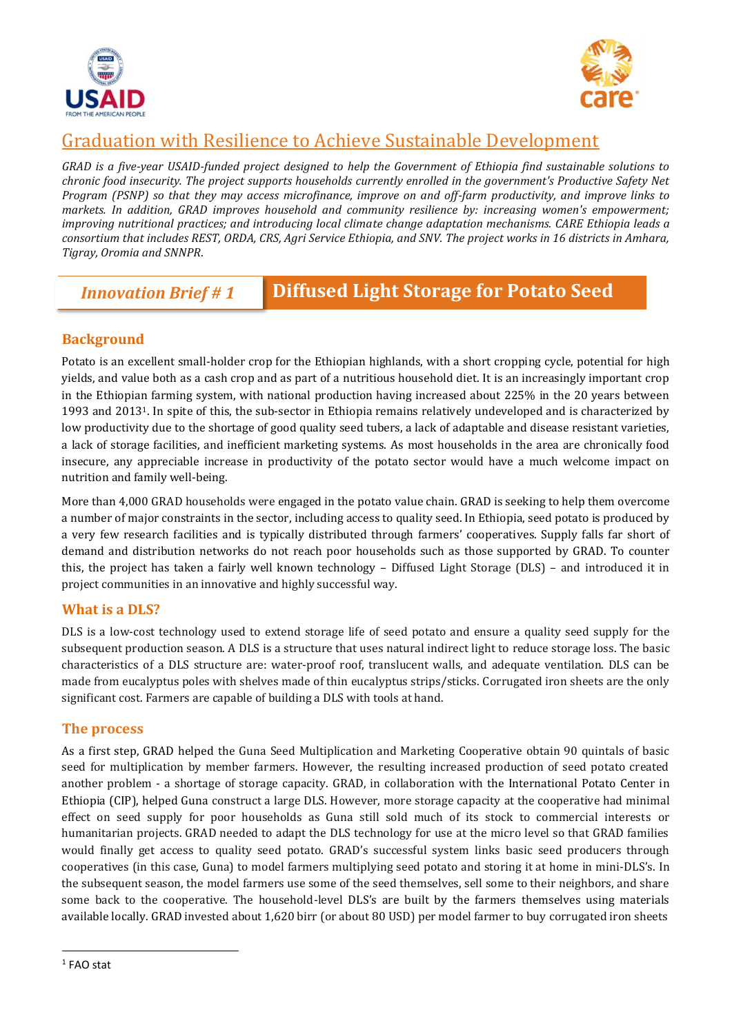



# Graduation with Resilience to Achieve Sustainable Development

*GRAD is a five-year USAID-funded project designed to help the Government of Ethiopia find sustainable solutions to chronic food insecurity. The project supports households currently enrolled in the government's Productive Safety Net Program (PSNP) so that they may access microfinance, improve on and off-farm productivity, and improve links to markets. In addition, GRAD improves household and community resilience by: increasing women's empowerment; improving nutritional practices; and introducing local climate change adaptation mechanisms. CARE Ethiopia leads a consortium that includes REST, ORDA, CRS, Agri Service Ethiopia, and SNV. The project works in 16 districts in Amhara, Tigray, Oromia and SNNPR*.

### *Innovation Brief # 1* **Diffused Light Storage for Potato Seed**

### **Background**

Potato is an excellent small-holder crop for the Ethiopian highlands, with a short cropping cycle, potential for high yields, and value both as a cash crop and as part of a nutritious household diet. It is an increasingly important crop in the Ethiopian farming system, with national production having increased about 225% in the 20 years between 1993 and 20131. In spite of this, the sub-sector in Ethiopia remains relatively undeveloped and is characterized by low productivity due to the shortage of good quality seed tubers, a lack of adaptable and disease resistant varieties, a lack of storage facilities, and inefficient marketing systems. As most households in the area are chronically food insecure, any appreciable increase in productivity of the potato sector would have a much welcome impact on nutrition and family well-being.

More than 4,000 GRAD households were engaged in the potato value chain. GRAD is seeking to help them overcome a number of major constraints in the sector, including access to quality seed. In Ethiopia, seed potato is produced by a very few research facilities and is typically distributed through farmers' cooperatives. Supply falls far short of demand and distribution networks do not reach poor households such as those supported by GRAD. To counter this, the project has taken a fairly well known technology – Diffused Light Storage (DLS) – and introduced it in project communities in an innovative and highly successful way.

#### **What is a DLS?**

DLS is a low-cost technology used to extend storage life of seed potato and ensure a quality seed supply for the subsequent production season. A DLS is a structure that uses natural indirect light to reduce storage loss. The basic characteristics of a DLS structure are: water-proof roof, translucent walls, and adequate ventilation. DLS can be made from eucalyptus poles with shelves made of thin eucalyptus strips/sticks. Corrugated iron sheets are the only significant cost. Farmers are capable of building a DLS with tools at hand.

#### **The process**

As a first step, GRAD helped the Guna Seed Multiplication and Marketing Cooperative obtain 90 quintals of basic seed for multiplication by member farmers. However, the resulting increased production of seed potato created another problem - a shortage of storage capacity. GRAD, in collaboration with the International Potato Center in Ethiopia (CIP), helped Guna construct a large DLS. However, more storage capacity at the cooperative had minimal effect on seed supply for poor households as Guna still sold much of its stock to commercial interests or humanitarian projects. GRAD needed to adapt the DLS technology for use at the micro level so that GRAD families would finally get access to quality seed potato. GRAD's successful system links basic seed producers through cooperatives (in this case, Guna) to model farmers multiplying seed potato and storing it at home in mini-DLS's. In the subsequent season, the model farmers use some of the seed themselves, sell some to their neighbors, and share some back to the cooperative. The household-level DLS's are built by the farmers themselves using materials available locally. GRAD invested about 1,620 birr (or about 80 USD) per model farmer to buy corrugated iron sheets

 $\overline{a}$ 

<sup>1</sup> FAO stat